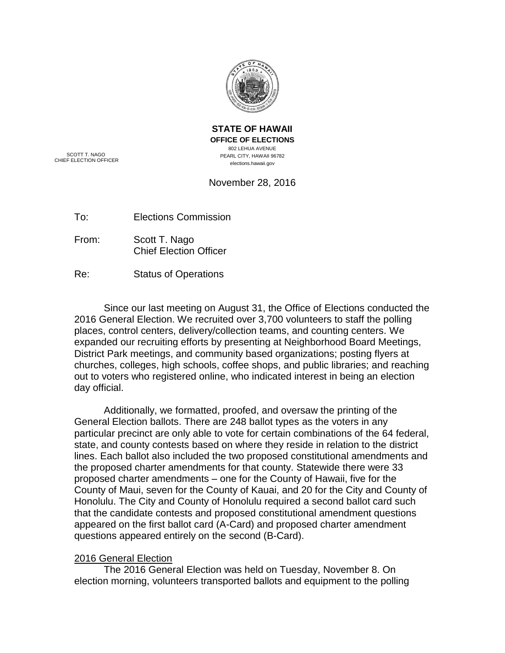

**STATE OF HAWAII OFFICE OF ELECTIONS** 802 LEHUA AVENUE PEARL CITY, HAWAII 96782 elections.hawaii.gov

SCOTT T. NAGO CHIEF ELECTION OFFICER

# November 28, 2016

To: Elections Commission

From: Scott T. Nago Chief Election Officer

Re: Status of Operations

Since our last meeting on August 31, the Office of Elections conducted the 2016 General Election. We recruited over 3,700 volunteers to staff the polling places, control centers, delivery/collection teams, and counting centers. We expanded our recruiting efforts by presenting at Neighborhood Board Meetings, District Park meetings, and community based organizations; posting flyers at churches, colleges, high schools, coffee shops, and public libraries; and reaching out to voters who registered online, who indicated interest in being an election day official.

Additionally, we formatted, proofed, and oversaw the printing of the General Election ballots. There are 248 ballot types as the voters in any particular precinct are only able to vote for certain combinations of the 64 federal, state, and county contests based on where they reside in relation to the district lines. Each ballot also included the two proposed constitutional amendments and the proposed charter amendments for that county. Statewide there were 33 proposed charter amendments – one for the County of Hawaii, five for the County of Maui, seven for the County of Kauai, and 20 for the City and County of Honolulu. The City and County of Honolulu required a second ballot card such that the candidate contests and proposed constitutional amendment questions appeared on the first ballot card (A-Card) and proposed charter amendment questions appeared entirely on the second (B-Card).

# 2016 General Election

The 2016 General Election was held on Tuesday, November 8. On election morning, volunteers transported ballots and equipment to the polling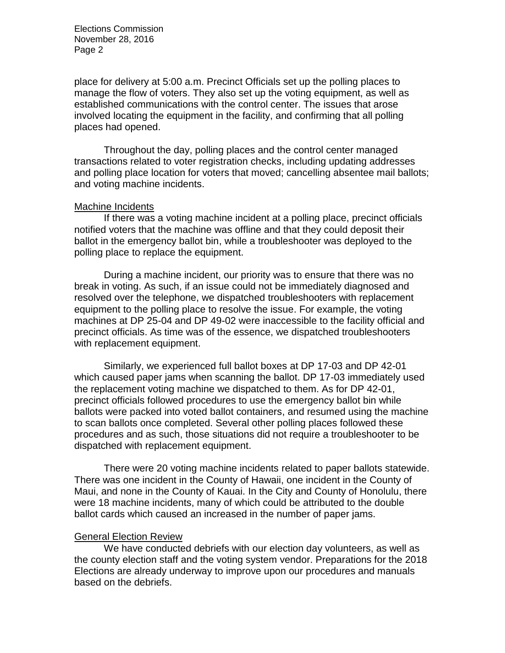Elections Commission November 28, 2016 Page 2

place for delivery at 5:00 a.m. Precinct Officials set up the polling places to manage the flow of voters. They also set up the voting equipment, as well as established communications with the control center. The issues that arose involved locating the equipment in the facility, and confirming that all polling places had opened.

Throughout the day, polling places and the control center managed transactions related to voter registration checks, including updating addresses and polling place location for voters that moved; cancelling absentee mail ballots; and voting machine incidents.

#### Machine Incidents

If there was a voting machine incident at a polling place, precinct officials notified voters that the machine was offline and that they could deposit their ballot in the emergency ballot bin, while a troubleshooter was deployed to the polling place to replace the equipment.

During a machine incident, our priority was to ensure that there was no break in voting. As such, if an issue could not be immediately diagnosed and resolved over the telephone, we dispatched troubleshooters with replacement equipment to the polling place to resolve the issue. For example, the voting machines at DP 25-04 and DP 49-02 were inaccessible to the facility official and precinct officials. As time was of the essence, we dispatched troubleshooters with replacement equipment.

Similarly, we experienced full ballot boxes at DP 17-03 and DP 42-01 which caused paper jams when scanning the ballot. DP 17-03 immediately used the replacement voting machine we dispatched to them. As for DP 42-01, precinct officials followed procedures to use the emergency ballot bin while ballots were packed into voted ballot containers, and resumed using the machine to scan ballots once completed. Several other polling places followed these procedures and as such, those situations did not require a troubleshooter to be dispatched with replacement equipment.

There were 20 voting machine incidents related to paper ballots statewide. There was one incident in the County of Hawaii, one incident in the County of Maui, and none in the County of Kauai. In the City and County of Honolulu, there were 18 machine incidents, many of which could be attributed to the double ballot cards which caused an increased in the number of paper jams.

### General Election Review

We have conducted debriefs with our election day volunteers, as well as the county election staff and the voting system vendor. Preparations for the 2018 Elections are already underway to improve upon our procedures and manuals based on the debriefs.